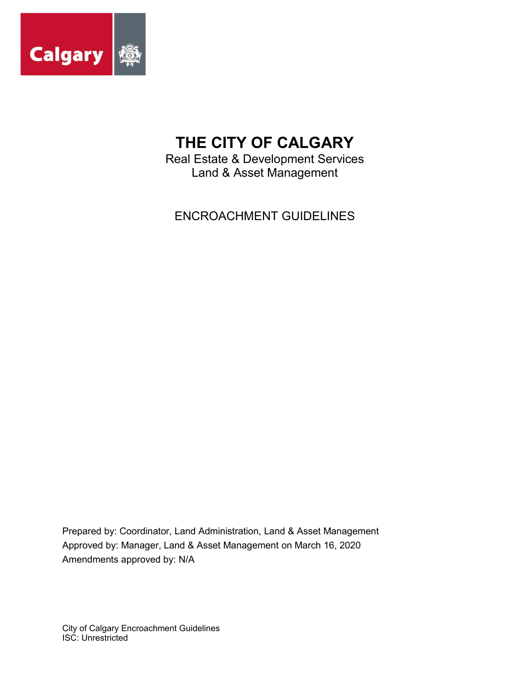

# **THE CITY OF CALGARY**

Real Estate & Development Services Land & Asset Management

ENCROACHMENT GUIDELINES

Prepared by: Coordinator, Land Administration, Land & Asset Management Approved by: Manager, Land & Asset Management on March 16, 2020 Amendments approved by: N/A

City of Calgary Encroachment Guidelines ISC: Unrestricted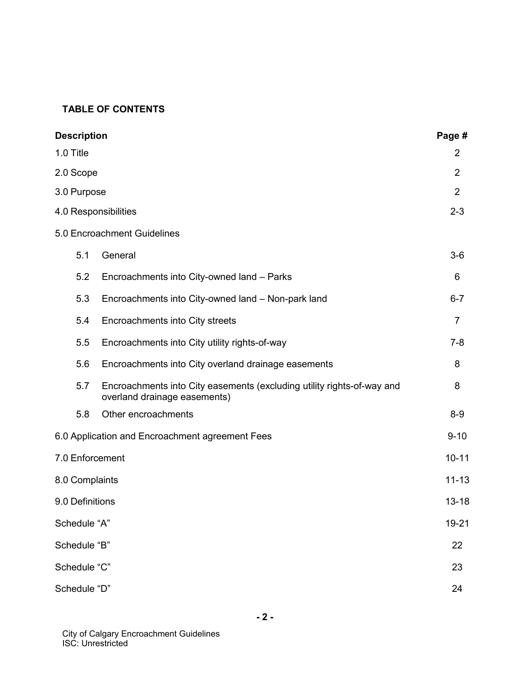## **TABLE OF CONTENTS**

| <b>Description</b>                              |                                                                                                        |                |
|-------------------------------------------------|--------------------------------------------------------------------------------------------------------|----------------|
| 1.0 Title                                       |                                                                                                        | $\overline{2}$ |
| 2.0 Scope                                       |                                                                                                        | $\overline{2}$ |
| 3.0 Purpose                                     |                                                                                                        |                |
| 4.0 Responsibilities                            |                                                                                                        |                |
|                                                 | 5.0 Encroachment Guidelines                                                                            |                |
| 5.1                                             | General                                                                                                | $3-6$          |
| 5.2                                             | Encroachments into City-owned land - Parks                                                             | 6              |
| 5.3                                             | Encroachments into City-owned land - Non-park land                                                     | $6 - 7$        |
| 5.4                                             | Encroachments into City streets                                                                        | $\overline{7}$ |
| 5.5                                             | Encroachments into City utility rights-of-way                                                          | $7 - 8$        |
| 5.6                                             | Encroachments into City overland drainage easements                                                    | 8              |
| 5.7                                             | Encroachments into City easements (excluding utility rights-of-way and<br>overland drainage easements) | 8              |
| 5.8                                             | Other encroachments                                                                                    | $8-9$          |
| 6.0 Application and Encroachment agreement Fees |                                                                                                        |                |
| 7.0 Enforcement                                 |                                                                                                        | $10 - 11$      |
| 8.0 Complaints                                  |                                                                                                        | $11 - 13$      |
| 9.0 Definitions                                 |                                                                                                        | $13 - 18$      |
| Schedule "A"                                    |                                                                                                        | 19-21          |
| Schedule "B"                                    |                                                                                                        | 22             |
| Schedule "C"                                    |                                                                                                        |                |
| Schedule "D"                                    |                                                                                                        |                |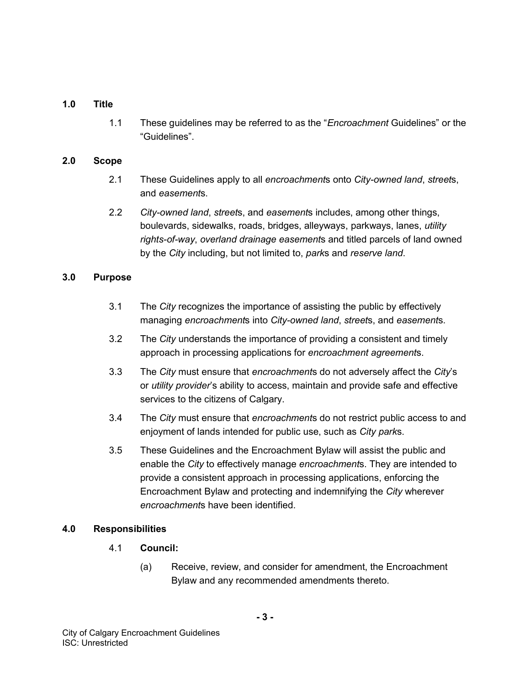### **1.0 Title**

1.1 These guidelines may be referred to as the "*Encroachment* Guidelines" or the "Guidelines".

#### **2.0 Scope**

- 2.1 These Guidelines apply to all *encroachment*s onto *City-owned land*, *street*s, and *easement*s.
- 2.2 *City-owned land*, *street*s, and *easement*s includes, among other things, boulevards, sidewalks, roads, bridges, alleyways, parkways, lanes, *utility rights-of-way*, *overland drainage easement*s and titled parcels of land owned by the *City* including, but not limited to, *park*s and *reserve land*.

### **3.0 Purpose**

- 3.1 The *City* recognizes the importance of assisting the public by effectively managing *encroachment*s into *City-owned land*, *street*s, and *easement*s.
- 3.2 The *City* understands the importance of providing a consistent and timely approach in processing applications for *encroachment agreement*s.
- 3.3 The *City* must ensure that *encroachment*s do not adversely affect the *City*'s or *utility provider*'s ability to access, maintain and provide safe and effective services to the citizens of Calgary.
- 3.4 The *City* must ensure that *encroachment*s do not restrict public access to and enjoyment of lands intended for public use, such as *City park*s.
- 3.5 These Guidelines and the Encroachment Bylaw will assist the public and enable the *City* to effectively manage *encroachment*s. They are intended to provide a consistent approach in processing applications, enforcing the Encroachment Bylaw and protecting and indemnifying the *City* wherever *encroachment*s have been identified.

#### **4.0 Responsibilities**

- 4.1 **Council:** 
	- (a) Receive, review, and consider for amendment, the Encroachment Bylaw and any recommended amendments thereto.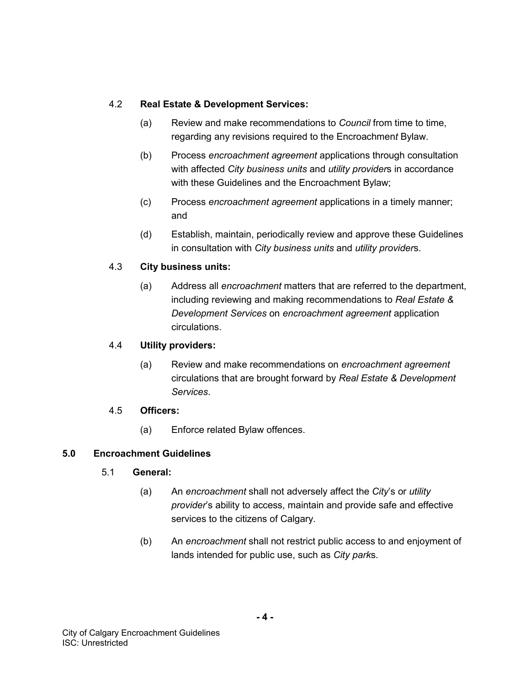## 4.2 **Real Estate & Development Services:**

- (a) Review and make recommendations to *Council* from time to time, regarding any revisions required to the Encroachmen*t* Bylaw.
- (b) Process *encroachment agreement* applications through consultation with affected *City business units* and *utility provider*s in accordance with these Guidelines and the Encroachment Bylaw;
- (c) Process *encroachment agreement* applications in a timely manner; and
- (d) Establish, maintain, periodically review and approve these Guidelines in consultation with *City business units* and *utility provider*s.

# 4.3 **City business units:**

(a) Address all *encroachment* matters that are referred to the department, including reviewing and making recommendations to *Real Estate & Development Services* on *encroachment agreement* application circulations.

# 4.4 **Utility providers:**

(a) Review and make recommendations on *encroachment agreement* circulations that are brought forward by *Real Estate & Development Services*.

### 4.5 **Officers:**

(a) Enforce related Bylaw offences.

# **5.0 Encroachment Guidelines**

### 5.1 **General:**

- (a) An *encroachment* shall not adversely affect the *City*'s or *utility provider*'s ability to access, maintain and provide safe and effective services to the citizens of Calgary.
- (b) An *encroachment* shall not restrict public access to and enjoyment of lands intended for public use, such as *City park*s.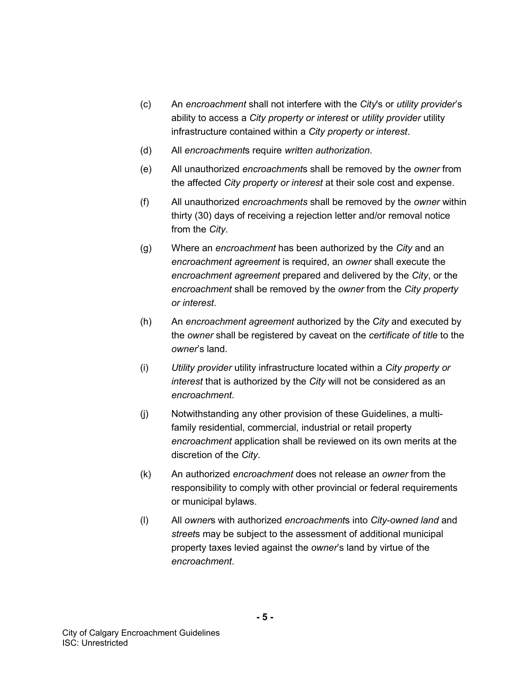- (c) An *encroachment* shall not interfere with the *City*'s or *utility provider*'s ability to access a *City property or interest* or *utility provider* utility infrastructure contained within a *City property or interest*.
- (d) All *encroachment*s require *written authorization*.
- (e) All unauthorized *encroachment*s shall be removed by the *owner* from the affected *City property or interest* at their sole cost and expense.
- (f) All unauthorized *encroachments* shall be removed by the *owner* within thirty (30) days of receiving a rejection letter and/or removal notice from the *City*.
- (g) Where an *encroachment* has been authorized by the *City* and an *encroachment agreement* is required, an *owner* shall execute the *encroachment agreement* prepared and delivered by the *City*, or the *encroachment* shall be removed by the *owner* from the *City property or interest*.
- (h) An *encroachment agreement* authorized by the *City* and executed by the *owner* shall be registered by caveat on the *certificate of title* to the *owner*'s land.
- (i) *Utility provider* utility infrastructure located within a *City property or interest* that is authorized by the *City* will not be considered as an *encroachment*.
- (j) Notwithstanding any other provision of these Guidelines, a multifamily residential, commercial, industrial or retail property *encroachment* application shall be reviewed on its own merits at the discretion of the *City*.
- (k) An authorized *encroachment* does not release an *owner* from the responsibility to comply with other provincial or federal requirements or municipal bylaws.
- (l) All *owner*s with authorized *encroachment*s into *City-owned land* and *street*s may be subject to the assessment of additional municipal property taxes levied against the *owner*'s land by virtue of the *encroachment*.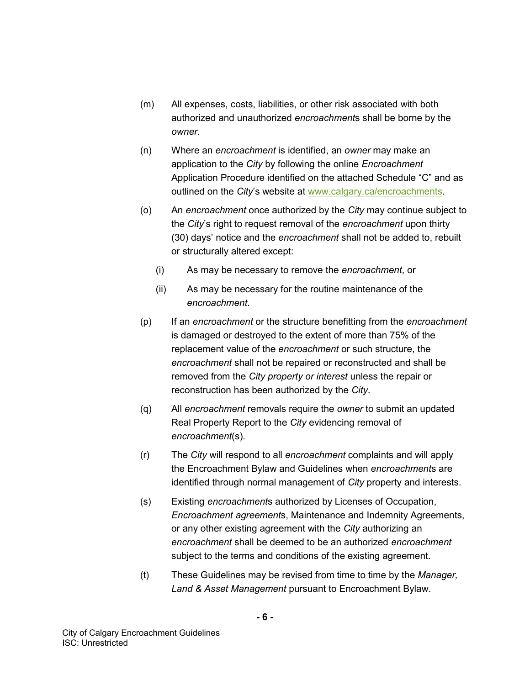- (m) All expenses, costs, liabilities, or other risk associated with both authorized and unauthorized *encroachment*s shall be borne by the *owner*.
- (n) Where an *encroachment* is identified, an *owner* may make an application to the *City* by following the online *Encroachment* Application Procedure identified on the attached Schedule "C" and as outlined on the *City*'s website at [www.calgary.ca/encroachments.](http://www.calgary.ca/encroachments)
- (o) An *encroachment* once authorized by the *City* may continue subject to the *City*'s right to request removal of the *encroachment* upon thirty (30) days' notice and the *encroachment* shall not be added to, rebuilt or structurally altered except:
	- (i) As may be necessary to remove the *encroachment*, or
	- (ii) As may be necessary for the routine maintenance of the *encroachment*.
- (p) If an *encroachment* or the structure benefitting from the *encroachment* is damaged or destroyed to the extent of more than 75% of the replacement value of the *encroachment* or such structure, the *encroachment* shall not be repaired or reconstructed and shall be removed from the *City property or interest* unless the repair or reconstruction has been authorized by the *City*.
- (q) All *encroachment* removals require the *owner* to submit an updated Real Property Report to the *City* evidencing removal of *encroachment*(s).
- (r) The *City* will respond to all *encroachment* complaints and will apply the Encroachment Bylaw and Guidelines when *encroachment*s are identified through normal management of *City* property and interests.
- (s) Existing *encroachment*s authorized by Licenses of Occupation, *Encroachment agreement*s, Maintenance and Indemnity Agreements, or any other existing agreement with the *City* authorizing an *encroachment* shall be deemed to be an authorized *encroachment* subject to the terms and conditions of the existing agreement.
- (t) These Guidelines may be revised from time to time by the *Manager, Land & Asset Management* pursuant to Encroachment Bylaw.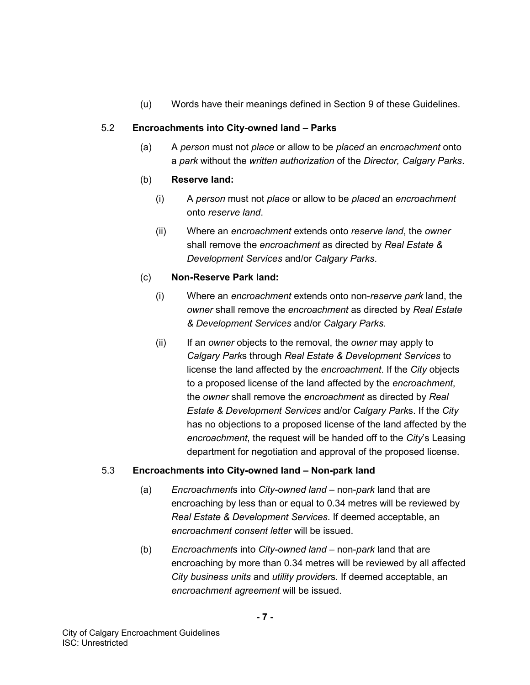(u) Words have their meanings defined in Section 9 of these Guidelines.

# 5.2 **Encroachments into City-owned land – Parks**

(a) A *person* must not *place* or allow to be *placed* an *encroachment* onto a *park* without the *written authorization* of the *Director, Calgary Parks*.

# (b) **Reserve land:**

- (i) A *person* must not *place* or allow to be *placed* an *encroachment* onto *reserve land*.
- (ii) Where an *encroachment* extends onto *reserve land*, the *owner* shall remove the *encroachment* as directed by *Real Estate & Development Services* and/or *Calgary Parks*.

## (c) **Non-Reserve Park land:**

- (i) Where an *encroachment* extends onto non-*reserve park* land, the *owner* shall remove the *encroachment* as directed by *Real Estate & Development Services* and/or *Calgary Parks*.
- (ii) If an *owner* objects to the removal, the *owner* may apply to *Calgary Park*s through *Real Estate & Development Services* to license the land affected by the *encroachment*. If the *City* objects to a proposed license of the land affected by the *encroachment*, the *owner* shall remove the *encroachment* as directed by *Real Estate & Development Services* and/or *Calgary Park*s. If the *City* has no objections to a proposed license of the land affected by the *encroachment*, the request will be handed off to the *City*'s Leasing department for negotiation and approval of the proposed license.

# 5.3 **Encroachments into City-owned land – Non-park land**

- (a) *Encroachment*s into *City-owned land* non-*park* land that are encroaching by less than or equal to 0.34 metres will be reviewed by *Real Estate & Development Services*. If deemed acceptable, an *encroachment consent letter* will be issued.
- (b) *Encroachment*s into *City-owned land* non-*park* land that are encroaching by more than 0.34 metres will be reviewed by all affected *City business units* and *utility provider*s. If deemed acceptable, an *encroachment agreement* will be issued.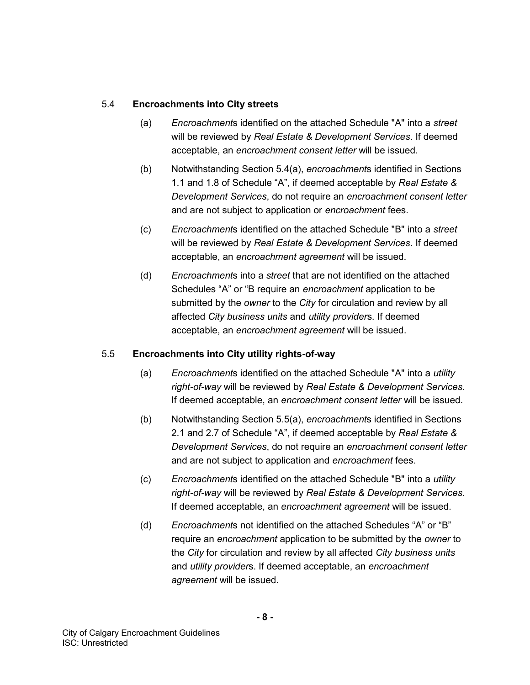## 5.4 **Encroachments into City streets**

- (a) *Encroachment*s identified on the attached Schedule "A" into a *street* will be reviewed by *Real Estate & Development Services*. If deemed acceptable, an *encroachment consent letter* will be issued.
- (b) Notwithstanding Section 5.4(a), *encroachment*s identified in Sections 1.1 and 1.8 of Schedule "A", if deemed acceptable by *Real Estate & Development Services*, do not require an *encroachment consent letter* and are not subject to application or *encroachment* fees.
- (c) *Encroachment*s identified on the attached Schedule "B" into a *street* will be reviewed by *Real Estate & Development Services*. If deemed acceptable, an *encroachment agreement* will be issued.
- (d) *Encroachment*s into a *street* that are not identified on the attached Schedules "A" or "B require an *encroachment* application to be submitted by the *owner* to the *City* for circulation and review by all affected *City business units* and *utility provider*s. If deemed acceptable, an *encroachment agreement* will be issued.

# 5.5 **Encroachments into City utility rights-of-way**

- (a) *Encroachment*s identified on the attached Schedule "A" into a *utility right-of-way* will be reviewed by *Real Estate & Development Services*. If deemed acceptable, an *encroachment consent letter* will be issued.
- (b) Notwithstanding Section 5.5(a), *encroachment*s identified in Sections 2.1 and 2.7 of Schedule "A", if deemed acceptable by *Real Estate & Development Services*, do not require an *encroachment consent letter* and are not subject to application and *encroachment* fees.
- (c) *Encroachment*s identified on the attached Schedule "B" into a *utility right-of-way* will be reviewed by *Real Estate & Development Services*. If deemed acceptable, an *encroachment agreement* will be issued.
- (d) *Encroachment*s not identified on the attached Schedules "A" or "B" require an *encroachment* application to be submitted by the *owner* to the *City* for circulation and review by all affected *City business units* and *utility provider*s. If deemed acceptable, an *encroachment agreement* will be issued.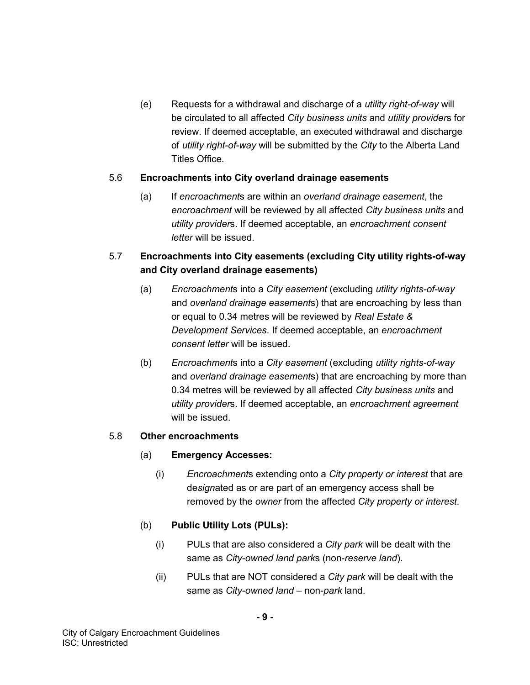(e) Requests for a withdrawal and discharge of a *utility right-of-way* will be circulated to all affected *City business units* and *utility provider*s for review. If deemed acceptable, an executed withdrawal and discharge of *utility right-of-way* will be submitted by the *City* to the Alberta Land Titles Office.

### 5.6 **Encroachments into City overland drainage easements**

(a) If *encroachment*s are within an *overland drainage easement*, the *encroachment* will be reviewed by all affected *City business units* and *utility provider*s. If deemed acceptable, an *encroachment consent letter* will be issued.

# 5.7 **Encroachments into City easements (excluding City utility rights-of-way and City overland drainage easements)**

- (a) *Encroachment*s into a *City easement* (excluding *utility rights-of-way* and *overland drainage easement*s) that are encroaching by less than or equal to 0.34 metres will be reviewed by *Real Estate & Development Services*. If deemed acceptable, an *encroachment consent letter* will be issued.
- (b) *Encroachment*s into a *City easement* (excluding *utility rights-of-way* and *overland drainage easement*s) that are encroaching by more than 0.34 metres will be reviewed by all affected *City business units* and *utility provider*s. If deemed acceptable, an *encroachment agreement* will be issued.

#### 5.8 **Other encroachments**

### (a) **Emergency Accesses:**

(i) *Encroachment*s extending onto a *City property or interest* that are de*sign*ated as or are part of an emergency access shall be removed by the *owner* from the affected *City property or interest*.

### (b) **Public Utility Lots (PULs):**

- (i) PULs that are also considered a *City park* will be dealt with the same as *City-owned land park*s (non-*reserve land*).
- (ii) PULs that are NOT considered a *City park* will be dealt with the same as *City-owned land* – non-*park* land.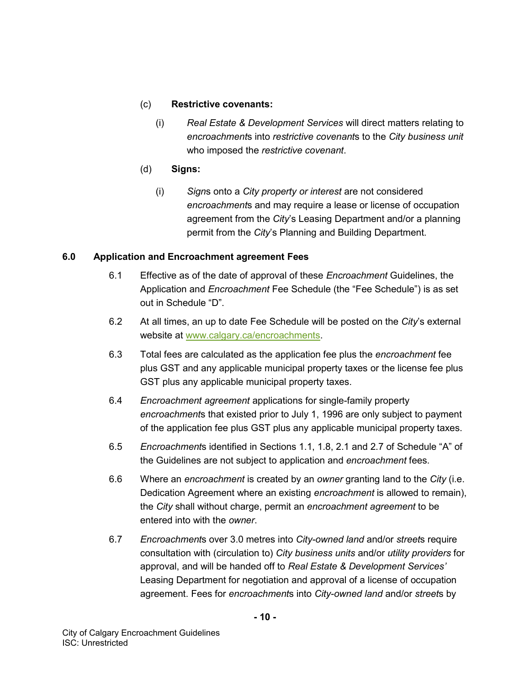### (c) **Restrictive covenants:**

- (i) *Real Estate & Development Services* will direct matters relating to *encroachment*s into *restrictive covenant*s to the *City business unit* who imposed the *restrictive covenant*.
- (d) **Signs:**
	- (i) *Sign*s onto a *City property or interest* are not considered *encroachment*s and may require a lease or license of occupation agreement from the *City*'s Leasing Department and/or a planning permit from the *City*'s Planning and Building Department.

# **6.0 Application and Encroachment agreement Fees**

- 6.1 Effective as of the date of approval of these *Encroachment* Guidelines, the Application and *Encroachment* Fee Schedule (the "Fee Schedule") is as set out in Schedule "D".
- 6.2 At all times, an up to date Fee Schedule will be posted on the *City*'s external website at [www.calgary.ca/encroachments.](http://www.calgary.ca/encroachments)
- 6.3 Total fees are calculated as the application fee plus the *encroachment* fee plus GST and any applicable municipal property taxes or the license fee plus GST plus any applicable municipal property taxes.
- 6.4 *Encroachment agreement* applications for single-family property *encroachment*s that existed prior to July 1, 1996 are only subject to payment of the application fee plus GST plus any applicable municipal property taxes.
- 6.5 *Encroachment*s identified in Sections 1.1, 1.8, 2.1 and 2.7 of Schedule "A" of the Guidelines are not subject to application and *encroachment* fees.
- 6.6 Where an *encroachment* is created by an *owner* granting land to the *City* (i.e. Dedication Agreement where an existing *encroachment* is allowed to remain), the *City* shall without charge, permit an *encroachment agreement* to be entered into with the *owner*.
- 6.7 *Encroachment*s over 3.0 metres into *City-owned land* and/or *street*s require consultation with (circulation to) *City business units* and/or *utility providers* for approval, and will be handed off to *Real Estate & Development Services'*  Leasing Department for negotiation and approval of a license of occupation agreement. Fees for *encroachment*s into *City-owned land* and/or *street*s by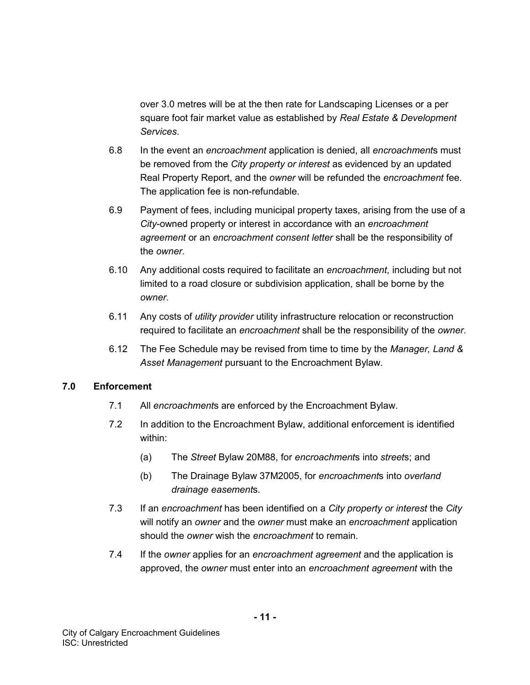over 3.0 metres will be at the then rate for Landscaping Licenses or a per square foot fair market value as established by *Real Estate & Development Services*.

- 6.8 In the event an *encroachment* application is denied, all *encroachment*s must be removed from the *City property or interest* as evidenced by an updated Real Property Report, and the *owner* will be refunded the *encroachment* fee. The application fee is non-refundable.
- 6.9 Payment of fees, including municipal property taxes, arising from the use of a *City*-owned property or interest in accordance with an *encroachment agreement* or an *encroachment consent letter* shall be the responsibility of the *owner*.
- 6.10 Any additional costs required to facilitate an *encroachment*, including but not limited to a road closure or subdivision application, shall be borne by the *owner*.
- 6.11 Any costs of *utility provider* utility infrastructure relocation or reconstruction required to facilitate an *encroachment* shall be the responsibility of the *owner*.
- 6.12 The Fee Schedule may be revised from time to time by the *Manager, Land & Asset Management* pursuant to the Encroachment Bylaw.

### **7.0 Enforcement**

- 7.1 All *encroachment*s are enforced by the Encroachment Bylaw.
- 7.2 In addition to the Encroachment Bylaw, additional enforcement is identified within:
	- (a) The *Street* Bylaw 20M88, for *encroachment*s into *street*s; and
	- (b) The Drainage Bylaw 37M2005, for *encroachment*s into *overland drainage easement*s.
- 7.3 If an *encroachment* has been identified on a *City property or interest* the *City* will notify an *owner* and the *owner* must make an *encroachment* application should the *owner* wish the *encroachment* to remain.
- 7.4 If the *owner* applies for an *encroachment agreement* and the application is approved, the *owner* must enter into an *encroachment agreement* with the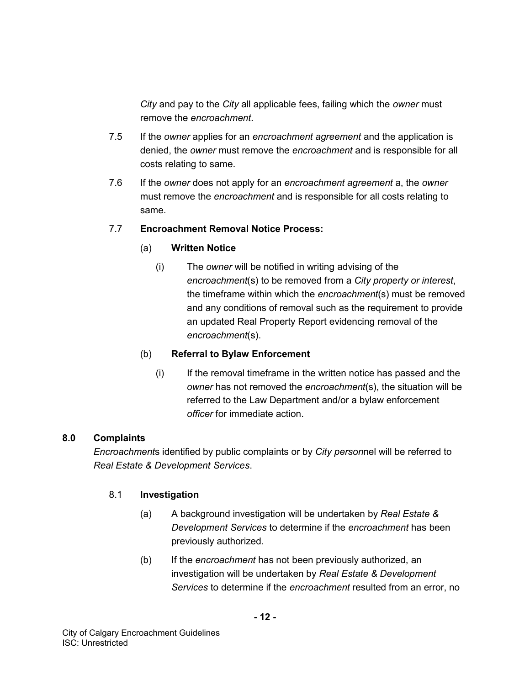*City* and pay to the *City* all applicable fees, failing which the *owner* must remove the *encroachment*.

- 7.5 If the *owner* applies for an *encroachment agreement* and the application is denied, the *owner* must remove the *encroachment* and is responsible for all costs relating to same.
- 7.6 If the *owner* does not apply for an *encroachment agreement* a, the *owner* must remove the *encroachment* and is responsible for all costs relating to same.

# 7.7 **Encroachment Removal Notice Process:**

# (a) **Written Notice**

(i) The *owner* will be notified in writing advising of the *encroachment*(s) to be removed from a *City property or interest*, the timeframe within which the *encroachment*(s) must be removed and any conditions of removal such as the requirement to provide an updated Real Property Report evidencing removal of the *encroachment*(s).

# (b) **Referral to Bylaw Enforcement**

(i) If the removal timeframe in the written notice has passed and the *owner* has not removed the *encroachment*(s), the situation will be referred to the Law Department and/or a bylaw enforcement *officer* for immediate action.

# **8.0 Complaints**

*Encroachment*s identified by public complaints or by *City person*nel will be referred to *Real Estate & Development Services*.

# 8.1 **Investigation**

- (a) A background investigation will be undertaken by *Real Estate & Development Services* to determine if the *encroachment* has been previously authorized.
- (b) If the *encroachment* has not been previously authorized, an investigation will be undertaken by *Real Estate & Development Services* to determine if the *encroachment* resulted from an error, no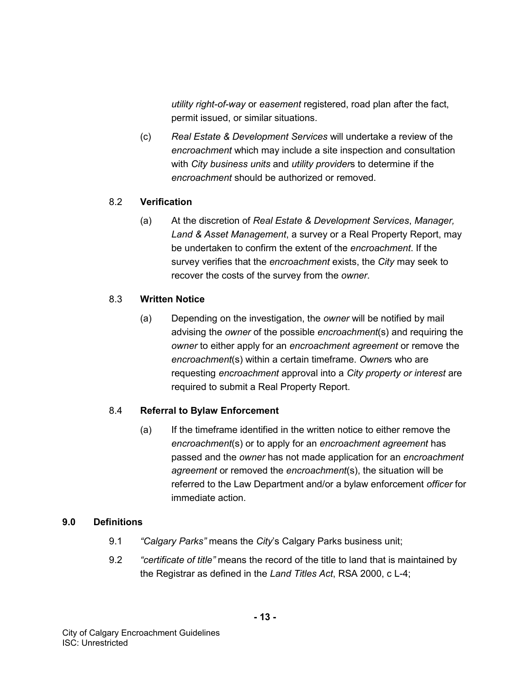*utility right-of-way* or *easement* registered, road plan after the fact, permit issued, or similar situations.

(c) *Real Estate & Development Services* will undertake a review of the *encroachment* which may include a site inspection and consultation with *City business units* and *utility provider*s to determine if the *encroachment* should be authorized or removed.

### 8.2 **Verification**

(a) At the discretion of *Real Estate & Development Services*, *Manager, Land & Asset Management*, a survey or a Real Property Report, may be undertaken to confirm the extent of the *encroachment*. If the survey verifies that the *encroachment* exists, the *City* may seek to recover the costs of the survey from the *owner*.

## 8.3 **Written Notice**

(a) Depending on the investigation, the *owner* will be notified by mail advising the *owner* of the possible *encroachment*(s) and requiring the *owner* to either apply for an *encroachment agreement* or remove the *encroachment*(s) within a certain timeframe. *Owner*s who are requesting *encroachment* approval into a *City property or interest* are required to submit a Real Property Report.

# 8.4 **Referral to Bylaw Enforcement**

(a) If the timeframe identified in the written notice to either remove the *encroachment*(s) or to apply for an *encroachment agreement* has passed and the *owner* has not made application for an *encroachment agreement* or removed the *encroachment*(s), the situation will be referred to the Law Department and/or a bylaw enforcement *officer* for immediate action.

### **9.0 Definitions**

- 9.1 *"Calgary Parks"* means the *City*'s Calgary Parks business unit;
- 9.2 *"certificate of title"* means the record of the title to land that is maintained by the Registrar as defined in the *Land Titles Act*, RSA 2000, c L-4;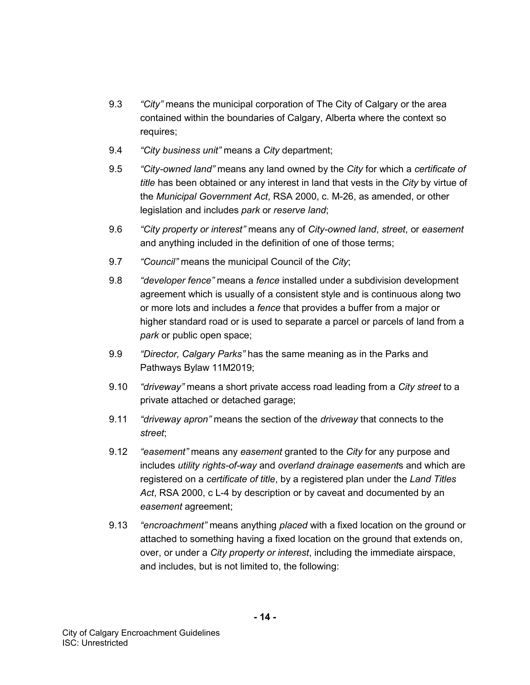- 9.3 *"City"* means the municipal corporation of The City of Calgary or the area contained within the boundaries of Calgary, Alberta where the context so requires;
- 9.4 *"City business unit"* means a *City* department;
- 9.5 *"City-owned land"* means any land owned by the *City* for which a *certificate of title* has been obtained or any interest in land that vests in the *City* by virtue of the *Municipal Government Act*, RSA 2000, c. M-26, as amended, or other legislation and includes *park* or *reserve land*;
- 9.6 *"City property or interest"* means any of *City-owned land*, *street*, or *easement* and anything included in the definition of one of those terms;
- 9.7 *"Council"* means the municipal Council of the *City*;
- 9.8 *"developer fence"* means a *fence* installed under a subdivision development agreement which is usually of a consistent style and is continuous along two or more lots and includes a *fence* that provides a buffer from a major or higher standard road or is used to separate a parcel or parcels of land from a *park* or public open space;
- 9.9 *"Director, Calgary Parks"* has the same meaning as in the Parks and Pathways Bylaw 11M2019;
- 9.10 *"driveway"* means a short private access road leading from a *City street* to a private attached or detached garage;
- 9.11 *"driveway apron"* means the section of the *driveway* that connects to the *street*;
- 9.12 *"easement"* means any *easement* granted to the *City* for any purpose and includes *utility rights-of-way* and *overland drainage easement*s and which are registered on a *certificate of title*, by a registered plan under the *Land Titles Act*, RSA 2000, c L-4 by description or by caveat and documented by an *easement* agreement;
- 9.13 *"encroachment"* means anything *placed* with a fixed location on the ground or attached to something having a fixed location on the ground that extends on, over, or under a *City property or interest*, including the immediate airspace, and includes, but is not limited to, the following: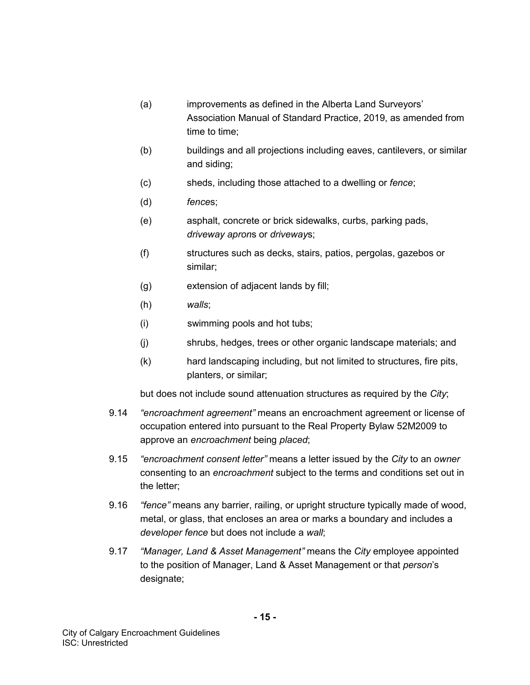- (a) improvements as defined in the Alberta Land Surveyors' Association Manual of Standard Practice, 2019, as amended from time to time;
- (b) buildings and all projections including eaves, cantilevers, or similar and siding;
- (c) sheds, including those attached to a dwelling or *fence*;
- (d) *fence*s;
- (e) asphalt, concrete or brick sidewalks, curbs, parking pads, *driveway apron*s or *driveway*s;
- (f) structures such as decks, stairs, patios, pergolas, gazebos or similar;
- (g) extension of adjacent lands by fill;
- (h) *walls*;
- (i) swimming pools and hot tubs;
- (j) shrubs, hedges, trees or other organic landscape materials; and
- (k) hard landscaping including, but not limited to structures, fire pits, planters, or similar;

but does not include sound attenuation structures as required by the *City*;

- 9.14 *"encroachment agreement"* means an encroachment agreement or license of occupation entered into pursuant to the Real Property Bylaw 52M2009 to approve an *encroachment* being *placed*;
- 9.15 *"encroachment consent letter"* means a letter issued by the *City* to an *owner* consenting to an *encroachment* subject to the terms and conditions set out in the letter;
- 9.16 *"fence"* means any barrier, railing, or upright structure typically made of wood, metal, or glass, that encloses an area or marks a boundary and includes a *developer fence* but does not include a *wall*;
- 9.17 *"Manager, Land & Asset Management"* means the *City* employee appointed to the position of Manager, Land & Asset Management or that *person*'s designate;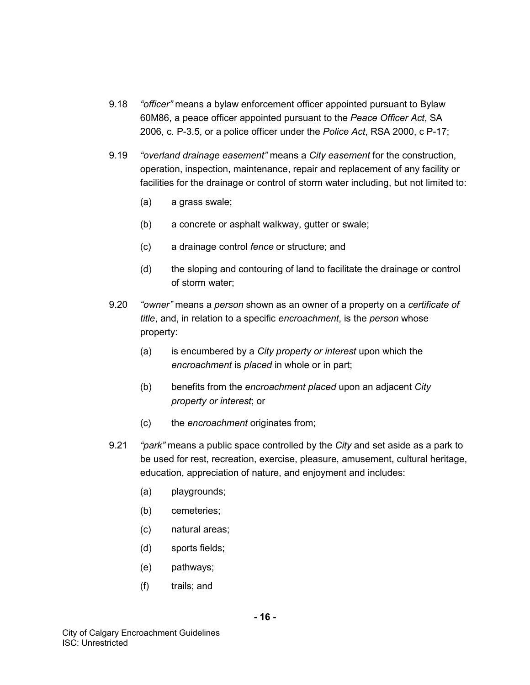- 9.18 *"officer"* means a bylaw enforcement officer appointed pursuant to Bylaw 60M86, a peace officer appointed pursuant to the *Peace Officer Act*, SA 2006, c. P-3.5, or a police officer under the *Police Act*, RSA 2000, c P-17;
- 9.19 *"overland drainage easement"* means a *City easement* for the construction, operation, inspection, maintenance, repair and replacement of any facility or facilities for the drainage or control of storm water including, but not limited to:
	- (a) a grass swale;
	- (b) a concrete or asphalt walkway, gutter or swale;
	- (c) a drainage control *fence* or structure; and
	- (d) the sloping and contouring of land to facilitate the drainage or control of storm water;
- 9.20 *"owner"* means a *person* shown as an owner of a property on a *certificate of title*, and, in relation to a specific *encroachment*, is the *person* whose property:
	- (a) is encumbered by a *City property or interest* upon which the *encroachment* is *placed* in whole or in part;
	- (b) benefits from the *encroachment placed* upon an adjacent *City property or interest*; or
	- (c) the *encroachment* originates from;
- 9.21 *"park"* means a public space controlled by the *City* and set aside as a park to be used for rest, recreation, exercise, pleasure, amusement, cultural heritage, education, appreciation of nature, and enjoyment and includes:
	- (a) playgrounds;
	- (b) cemeteries;
	- (c) natural areas;
	- (d) sports fields;
	- (e) pathways;
	- (f) trails; and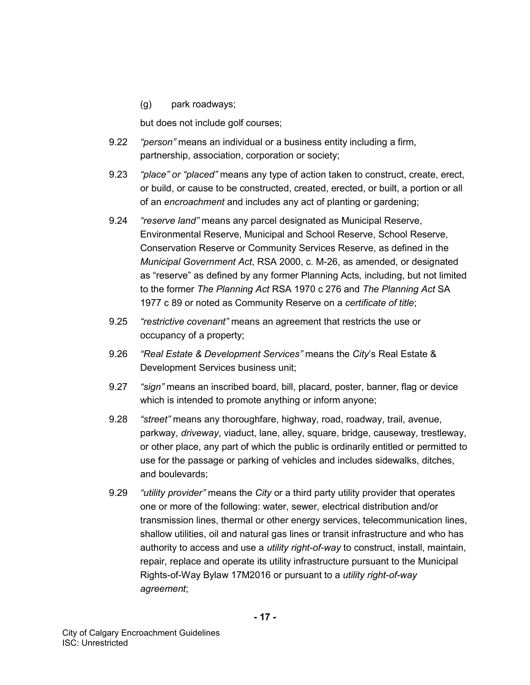### (g) park roadways;

but does not include golf courses;

- 9.22 *"person"* means an individual or a business entity including a firm, partnership, association, corporation or society;
- 9.23 *"place" or "placed"* means any type of action taken to construct, create, erect, or build, or cause to be constructed, created, erected, or built, a portion or all of an *encroachment* and includes any act of planting or gardening;
- 9.24 *"reserve land"* means any parcel designated as Municipal Reserve, Environmental Reserve, Municipal and School Reserve, School Reserve, Conservation Reserve or Community Services Reserve, as defined in the *Municipal Government Act*, RSA 2000, c. M-26, as amended, or designated as "reserve" as defined by any former Planning Acts*,* including, but not limited to the former *The Planning Act* RSA 1970 c 276 and *The Planning Act* SA 1977 c 89 or noted as Community Reserve on a *certificate of title*;
- 9.25 *"restrictive covenant"* means an agreement that restricts the use or occupancy of a property;
- 9.26 *"Real Estate & Development Services"* means the *City*'s Real Estate & Development Services business unit;
- 9.27 *"sign"* means an inscribed board, bill, placard, poster, banner, flag or device which is intended to promote anything or inform anyone;
- 9.28 *"street"* means any thoroughfare, highway, road, roadway, trail, avenue, parkway, *driveway*, viaduct, lane, alley, square, bridge, causeway, trestleway, or other place, any part of which the public is ordinarily entitled or permitted to use for the passage or parking of vehicles and includes sidewalks, ditches, and boulevards;
- 9.29 *"utility provider"* means the *City* or a third party utility provider that operates one or more of the following: water, sewer, electrical distribution and/or transmission lines, thermal or other energy services, telecommunication lines, shallow utilities, oil and natural gas lines or transit infrastructure and who has authority to access and use a *utility right-of-way* to construct, install, maintain, repair, replace and operate its utility infrastructure pursuant to the Municipal Rights-of-Way Bylaw 17M2016 or pursuant to a *utility right-of-way agreement*;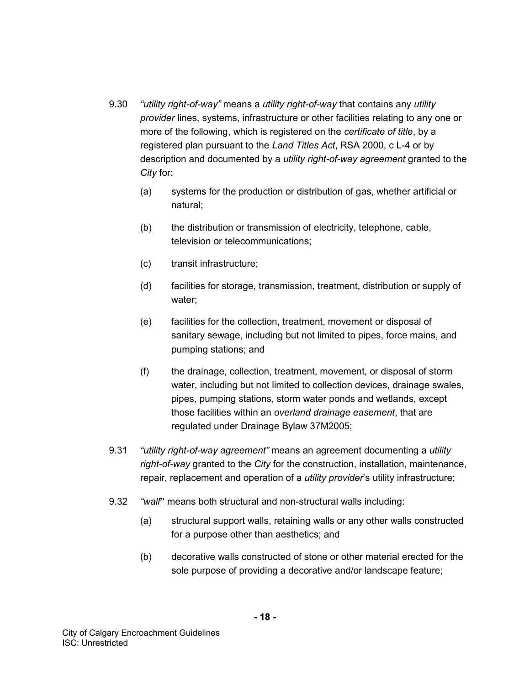- 9.30 *"utility right-of-way"* means a *utility right-of-way* that contains any *utility provider* lines, systems, infrastructure or other facilities relating to any one or more of the following, which is registered on the *certificate of title*, by a registered plan pursuant to the *Land Titles Act*, RSA 2000, c L-4 or by description and documented by a *utility right-of-way agreement* granted to the *City* for:
	- (a) systems for the production or distribution of gas, whether artificial or natural;
	- (b) the distribution or transmission of electricity, telephone, cable, television or telecommunications;
	- (c) transit infrastructure;
	- (d) facilities for storage, transmission, treatment, distribution or supply of water;
	- (e) facilities for the collection, treatment, movement or disposal of sanitary sewage, including but not limited to pipes, force mains, and pumping stations; and
	- (f) the drainage, collection, treatment, movement, or disposal of storm water, including but not limited to collection devices, drainage swales, pipes, pumping stations, storm water ponds and wetlands, except those facilities within an *overland drainage easement*, that are regulated under Drainage Bylaw 37M2005;
- 9.31 *"utility right-of-way agreement"* means an agreement documenting a *utility right-of-way* granted to the *City* for the construction, installation, maintenance, repair, replacement and operation of a *utility provider*'s utility infrastructure;
- 9.32 *"wall***"** means both structural and non-structural walls including:
	- (a) structural support walls, retaining walls or any other walls constructed for a purpose other than aesthetics; and
	- (b) decorative walls constructed of stone or other material erected for the sole purpose of providing a decorative and/or landscape feature;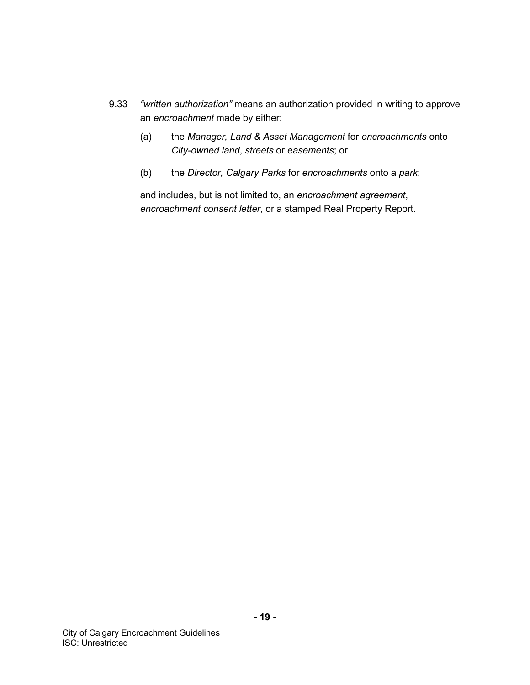- 9.33 *"written authorization"* means an authorization provided in writing to approve an *encroachment* made by either:
	- (a) the *Manager, Land & Asset Management* for *encroachments* onto *City-owned land*, *streets* or *easements*; or
	- (b) the *Director, Calgary Parks* for *encroachments* onto a *park*;

and includes, but is not limited to, an *encroachment agreement*, *encroachment consent letter*, or a stamped Real Property Report.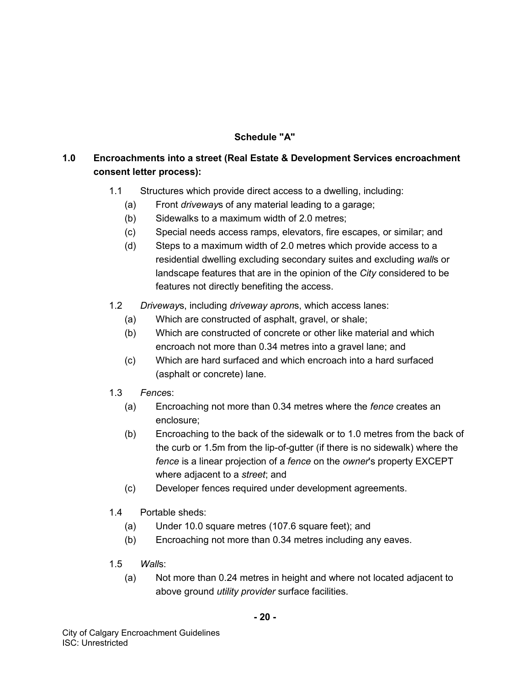# **Schedule "A"**

# **1.0 Encroachments into a street (Real Estate & Development Services encroachment consent letter process):**

- 1.1 Structures which provide direct access to a dwelling, including:
	- (a) Front *driveway*s of any material leading to a garage;
	- (b) Sidewalks to a maximum width of 2.0 metres;
	- (c) Special needs access ramps, elevators, fire escapes, or similar; and
	- (d) Steps to a maximum width of 2.0 metres which provide access to a residential dwelling excluding secondary suites and excluding *wall*s or landscape features that are in the opinion of the *City* considered to be features not directly benefiting the access.
- 1.2 *Driveway*s, including *driveway apron*s, which access lanes:
	- (a) Which are constructed of asphalt, gravel, or shale;
	- (b) Which are constructed of concrete or other like material and which encroach not more than 0.34 metres into a gravel lane; and
	- (c) Which are hard surfaced and which encroach into a hard surfaced (asphalt or concrete) lane.
- 1.3 *Fence*s:
	- (a) Encroaching not more than 0.34 metres where the *fence* creates an enclosure;
	- (b) Encroaching to the back of the sidewalk or to 1.0 metres from the back of the curb or 1.5m from the lip-of-gutter (if there is no sidewalk) where the *fence* is a linear projection of a *fence* on the *owner*'s property EXCEPT where adjacent to a *street*; and
	- (c) Developer fences required under development agreements.
- 1.4 Portable sheds:
	- (a) Under 10.0 square metres (107.6 square feet); and
	- (b) Encroaching not more than 0.34 metres including any eaves.
- 1.5 *Wall*s:
	- (a) Not more than 0.24 metres in height and where not located adjacent to above ground *utility provider* surface facilities.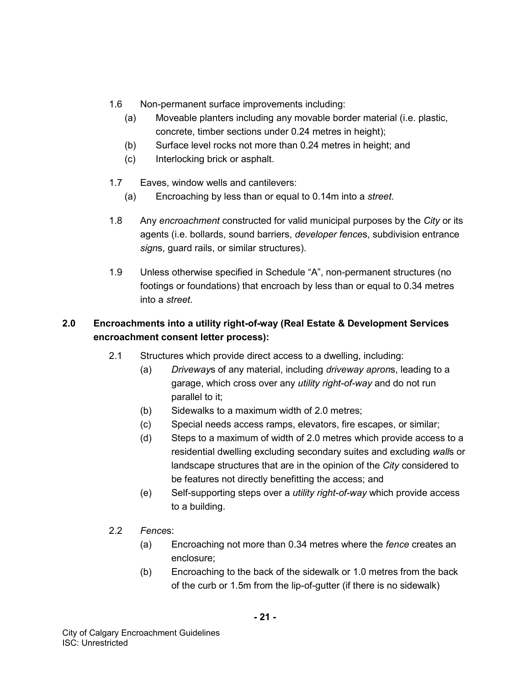- 1.6 Non-permanent surface improvements including:
	- (a) Moveable planters including any movable border material (i.e. plastic, concrete, timber sections under 0.24 metres in height);
	- (b) Surface level rocks not more than 0.24 metres in height; and
	- (c) Interlocking brick or asphalt.
- 1.7 Eaves, window wells and cantilevers:
	- (a) Encroaching by less than or equal to 0.14m into a *street*.
- 1.8 Any *encroachment* constructed for valid municipal purposes by the *City* or its agents (i.e. bollards, sound barriers, *developer fence*s, subdivision entrance *sign*s, guard rails, or similar structures).
- 1.9 Unless otherwise specified in Schedule "A", non-permanent structures (no footings or foundations) that encroach by less than or equal to 0.34 metres into a *street*.

# **2.0 Encroachments into a utility right-of-way (Real Estate & Development Services encroachment consent letter process):**

- 2.1 Structures which provide direct access to a dwelling, including:
	- (a) *Driveway*s of any material, including *driveway apron*s, leading to a garage, which cross over any *utility right-of-way* and do not run parallel to it;
	- (b) Sidewalks to a maximum width of 2.0 metres;
	- (c) Special needs access ramps, elevators, fire escapes, or similar;
	- (d) Steps to a maximum of width of 2.0 metres which provide access to a residential dwelling excluding secondary suites and excluding *wall*s or landscape structures that are in the opinion of the *City* considered to be features not directly benefitting the access; and
	- (e) Self-supporting steps over a *utility right-of-way* which provide access to a building.
- 2.2 *Fence*s:
	- (a) Encroaching not more than 0.34 metres where the *fence* creates an enclosure;
	- (b) Encroaching to the back of the sidewalk or 1.0 metres from the back of the curb or 1.5m from the lip-of-gutter (if there is no sidewalk)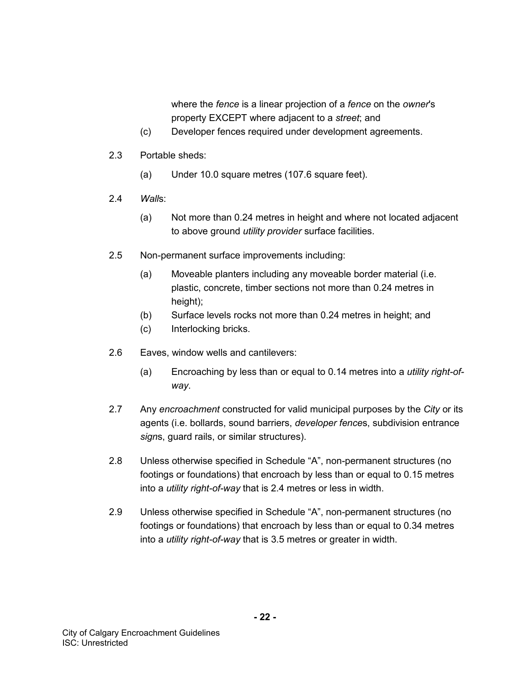where the *fence* is a linear projection of a *fence* on the *owner*'s property EXCEPT where adjacent to a *street*; and

- (c) Developer fences required under development agreements.
- 2.3 Portable sheds:
	- (a) Under 10.0 square metres (107.6 square feet).
- 2.4 *Wall*s:
	- (a) Not more than 0.24 metres in height and where not located adjacent to above ground *utility provider* surface facilities.
- 2.5 Non-permanent surface improvements including:
	- (a) Moveable planters including any moveable border material (i.e. plastic, concrete, timber sections not more than 0.24 metres in height);
	- (b) Surface levels rocks not more than 0.24 metres in height; and
	- (c) Interlocking bricks.
- 2.6 Eaves, window wells and cantilevers:
	- (a) Encroaching by less than or equal to 0.14 metres into a *utility right-ofway*.
- 2.7 Any *encroachment* constructed for valid municipal purposes by the *City* or its agents (i.e. bollards, sound barriers, *developer fence*s, subdivision entrance *sign*s, guard rails, or similar structures).
- 2.8 Unless otherwise specified in Schedule "A", non-permanent structures (no footings or foundations) that encroach by less than or equal to 0.15 metres into a *utility right-of-way* that is 2.4 metres or less in width.
- 2.9 Unless otherwise specified in Schedule "A", non-permanent structures (no footings or foundations) that encroach by less than or equal to 0.34 metres into a *utility right-of-way* that is 3.5 metres or greater in width.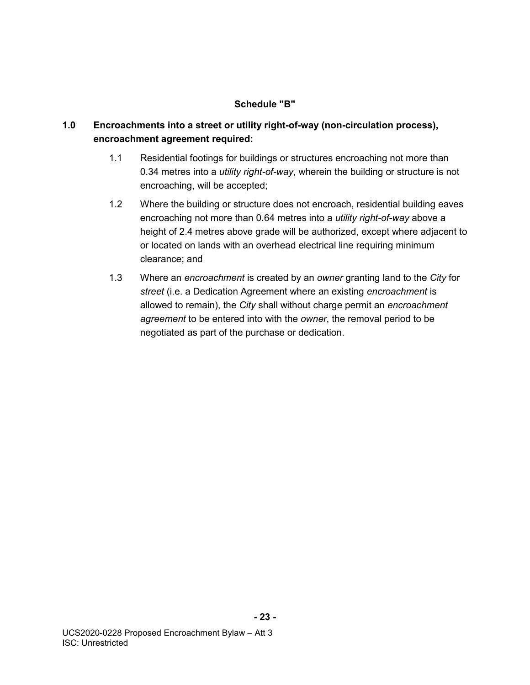### **Schedule "B"**

# **1.0 Encroachments into a street or utility right-of-way (non-circulation process), encroachment agreement required:**

- 1.1 Residential footings for buildings or structures encroaching not more than 0.34 metres into a *utility right-of-way*, wherein the building or structure is not encroaching, will be accepted;
- 1.2 Where the building or structure does not encroach, residential building eaves encroaching not more than 0.64 metres into a *utility right-of-way* above a height of 2.4 metres above grade will be authorized, except where adjacent to or located on lands with an overhead electrical line requiring minimum clearance; and
- 1.3 Where an *encroachment* is created by an *owner* granting land to the *City* for *street* (i.e. a Dedication Agreement where an existing *encroachment* is allowed to remain), the *City* shall without charge permit an *encroachment agreement* to be entered into with the *owner*, the removal period to be negotiated as part of the purchase or dedication.

**- 23 -**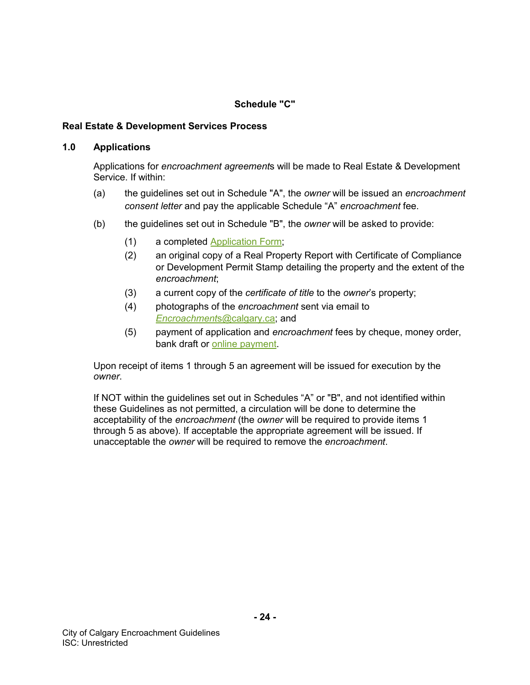## **Schedule "C"**

### **Real Estate & Development Services Process**

#### **1.0 Applications**

Applications for *encroachment agreement*s will be made to Real Estate & Development Service. If within:

- (a) the guidelines set out in Schedule "A", the *owner* will be issued an *encroachment consent letter* and pay the applicable Schedule "A" *encroachment* fee.
- (b) the guidelines set out in Schedule "B", the *owner* will be asked to provide:
	- (1) a completed [Application Form;](https://www.calgary.ca/realestate/Documents/REDS/Encroachment-Agreement-Application-Form.pdf)
	- (2) an original copy of a Real Property Report with Certificate of Compliance or Development Permit Stamp detailing the property and the extent of the *encroachment*;
	- (3) a current copy of the *certificate of title* to the *owner*'s property;
	- (4) photographs of the *encroachment* sent via email to *[Encroachment](mailto:Encroachments@calgary.ca)*s@calgary.ca; and
	- (5) payment of application and *encroachment* fees by cheque, money order, bank draft or [online payment.](https://cityonline.calgary.ca/Pages/Product.aspx?cat=CITYonlineDefault&id=0001-11142-14640-00001-P)

Upon receipt of items 1 through 5 an agreement will be issued for execution by the *owner*.

If NOT within the guidelines set out in Schedules "A" or "B", and not identified within these Guidelines as not permitted, a circulation will be done to determine the acceptability of the *encroachment* (the *owner* will be required to provide items 1 through 5 as above). If acceptable the appropriate agreement will be issued. If unacceptable the *owner* will be required to remove the *encroachment*.